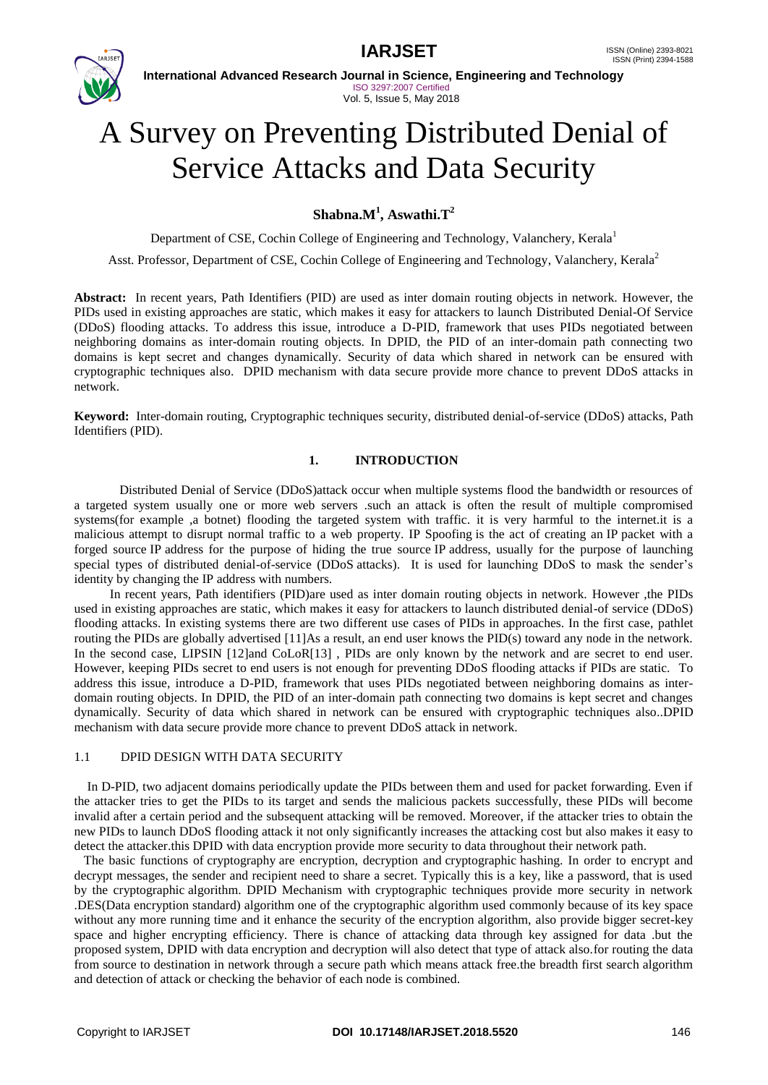

**International Advanced Research Journal in Science, Engineering and Technology** ISO 3297:2007 Certified Vol. 5, Issue 5, May 2018

# A Survey on Preventing Distributed Denial of Service Attacks and Data Security

## **Shabna.M<sup>1</sup> , Aswathi.T<sup>2</sup>**

Department of CSE, Cochin College of Engineering and Technology, Valanchery, Kerala<sup>1</sup>

Asst. Professor, Department of CSE, Cochin College of Engineering and Technology, Valanchery, Kerala<sup>2</sup>

**Abstract:** In recent years, Path Identifiers (PID) are used as inter domain routing objects in network. However, the PIDs used in existing approaches are static, which makes it easy for attackers to launch Distributed Denial-Of Service (DDoS) flooding attacks. To address this issue, introduce a D-PID, framework that uses PIDs negotiated between neighboring domains as inter-domain routing objects. In DPID, the PID of an inter-domain path connecting two domains is kept secret and changes dynamically. Security of data which shared in network can be ensured with cryptographic techniques also. DPID mechanism with data secure provide more chance to prevent DDoS attacks in network.

**Keyword:** Inter-domain routing, Cryptographic techniques security, distributed denial-of-service (DDoS) attacks, Path Identifiers (PID).

### **1. INTRODUCTION**

 Distributed Denial of Service (DDoS)attack occur when multiple systems flood the bandwidth or resources of a targeted system usually one or more web servers .such an attack is often the result of multiple compromised systems(for example ,a botnet) flooding the targeted system with traffic. it is very harmful to the internet.it is a malicious attempt to disrupt normal traffic to a web property. IP Spoofing is the act of creating an IP packet with a forged source IP address for the purpose of hiding the true source IP address, usually for the purpose of launching special types of distributed denial-of-service (DDoS attacks). It is used for launching DDoS to mask the sender's identity by changing the IP address with numbers.

 In recent years, Path identifiers (PID)are used as inter domain routing objects in network. However ,the PIDs used in existing approaches are static, which makes it easy for attackers to launch distributed denial-of service (DDoS) flooding attacks. In existing systems there are two different use cases of PIDs in approaches. In the first case, pathlet routing the PIDs are globally advertised [11]As a result, an end user knows the PID(s) toward any node in the network. In the second case, LIPSIN [12]and CoLoR[13] , PIDs are only known by the network and are secret to end user. However, keeping PIDs secret to end users is not enough for preventing DDoS flooding attacks if PIDs are static. To address this issue, introduce a D-PID, framework that uses PIDs negotiated between neighboring domains as interdomain routing objects. In DPID, the PID of an inter-domain path connecting two domains is kept secret and changes dynamically. Security of data which shared in network can be ensured with cryptographic techniques also..DPID mechanism with data secure provide more chance to prevent DDoS attack in network.

#### 1.1 DPID DESIGN WITH DATA SECURITY

 In D-PID, two adjacent domains periodically update the PIDs between them and used for packet forwarding. Even if the attacker tries to get the PIDs to its target and sends the malicious packets successfully, these PIDs will become invalid after a certain period and the subsequent attacking will be removed. Moreover, if the attacker tries to obtain the new PIDs to launch DDoS flooding attack it not only significantly increases the attacking cost but also makes it easy to detect the attacker.this DPID with data encryption provide more security to data throughout their network path.

 The basic functions of cryptography are encryption, decryption and cryptographic hashing. In order to encrypt and decrypt messages, the sender and recipient need to share a secret. Typically this is a key, like a password, that is used by the cryptographic algorithm. DPID Mechanism with cryptographic techniques provide more security in network .DES(Data encryption standard) algorithm one of the cryptographic algorithm used commonly because of its key space without any more running time and it enhance the security of the encryption algorithm, also provide bigger secret-key space and higher encrypting efficiency. There is chance of attacking data through key assigned for data .but the proposed system, DPID with data encryption and decryption will also detect that type of attack also.for routing the data from source to destination in network through a secure path which means attack free.the breadth first search algorithm and detection of attack or checking the behavior of each node is combined.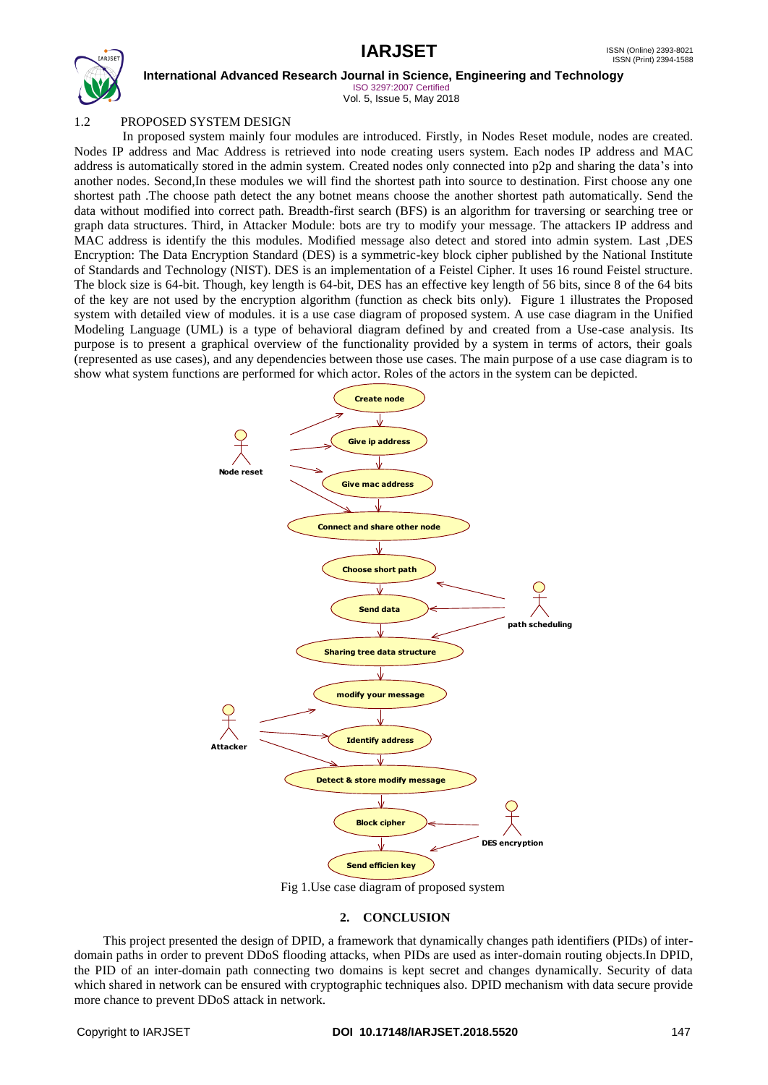

**International Advanced Research Journal in Science, Engineering and Technology**

ISO 3297:2007 Certified Vol. 5, Issue 5, May 2018

## 1.2 PROPOSED SYSTEM DESIGN

 In proposed system mainly four modules are introduced. Firstly, in Nodes Reset module, nodes are created. Nodes IP address and Mac Address is retrieved into node creating users system. Each nodes IP address and MAC address is automatically stored in the admin system. Created nodes only connected into p2p and sharing the data's into another nodes. Second,In these modules we will find the shortest path into source to destination. First choose any one shortest path .The choose path detect the any botnet means choose the another shortest path automatically. Send the data without modified into correct path. Breadth-first search (BFS) is an algorithm for traversing or searching tree or graph data structures. Third, in Attacker Module: bots are try to modify your message. The attackers IP address and MAC address is identify the this modules. Modified message also detect and stored into admin system. Last ,DES Encryption: The Data Encryption Standard (DES) is a symmetric-key block cipher published by the National Institute of Standards and Technology (NIST). DES is an implementation of a Feistel Cipher. It uses 16 round Feistel structure. The block size is 64-bit. Though, key length is 64-bit, DES has an effective key length of 56 bits, since 8 of the 64 bits of the key are not used by the encryption algorithm (function as check bits only). Figure 1 illustrates the Proposed system with detailed view of modules. it is a use case diagram of proposed system. A use case diagram in the Unified Modeling Language (UML) is a type of behavioral diagram defined by and created from a Use-case analysis. Its purpose is to present a graphical overview of the functionality provided by a system in terms of actors, their goals (represented as use cases), and any dependencies between those use cases. The main purpose of a use case diagram is to show what system functions are performed for which actor. Roles of the actors in the system can be depicted.



Fig 1.Use case diagram of proposed system

### **2. CONCLUSION**

 This project presented the design of DPID, a framework that dynamically changes path identifiers (PIDs) of interdomain paths in order to prevent DDoS flooding attacks, when PIDs are used as inter-domain routing objects.In DPID, the PID of an inter-domain path connecting two domains is kept secret and changes dynamically. Security of data which shared in network can be ensured with cryptographic techniques also. DPID mechanism with data secure provide more chance to prevent DDoS attack in network.